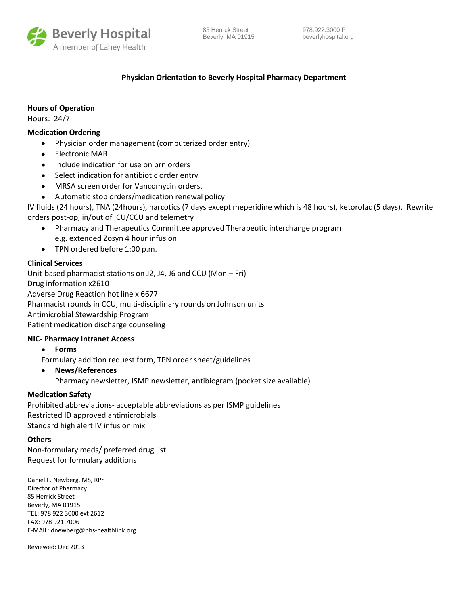

# **Physician Orientation to Beverly Hospital Pharmacy Department**

# **Hours of Operation**

Hours: 24/7

# **Medication Ordering**

- $\bullet$ Physician order management (computerized order entry)
- Electronic MAR
- Include indication for use on prn orders  $\bullet$
- Select indication for antibiotic order entry  $\bullet$
- MRSA screen order for Vancomycin orders.
- Automatic stop orders/medication renewal policy  $\bullet$

IV fluids (24 hours), TNA (24hours), narcotics (7 days except meperidine which is 48 hours), ketorolac (5 days). Rewrite orders post-op, in/out of ICU/CCU and telemetry

- $\bullet$ Pharmacy and Therapeutics Committee approved Therapeutic interchange program e.g. extended Zosyn 4 hour infusion
- TPN ordered before 1:00 p.m.  $\bullet$

# **Clinical Services**

Unit-based pharmacist stations on J2, J4, J6 and CCU (Mon – Fri) Drug information x2610 Adverse Drug Reaction hot line x 6677 Pharmacist rounds in CCU, multi-disciplinary rounds on Johnson units Antimicrobial Stewardship Program Patient medication discharge counseling

## **NIC- Pharmacy Intranet Access**

 $\bullet$ **Forms**

Formulary addition request form, TPN order sheet/guidelines

**News/References**  $\bullet$ Pharmacy newsletter, ISMP newsletter, antibiogram (pocket size available)

## **Medication Safety**

Prohibited abbreviations- acceptable abbreviations as per ISMP guidelines Restricted ID approved antimicrobials Standard high alert IV infusion mix

## **Others**

Non-formulary meds/ preferred drug list Request for formulary additions

Daniel F. Newberg, MS, RPh Director of Pharmacy 85 Herrick Street Beverly, MA 01915 TEL: 978 922 3000 ext 2612 FAX: 978 921 7006 E-MAIL: dnewberg@nhs-healthlink.org

Reviewed: Dec 2013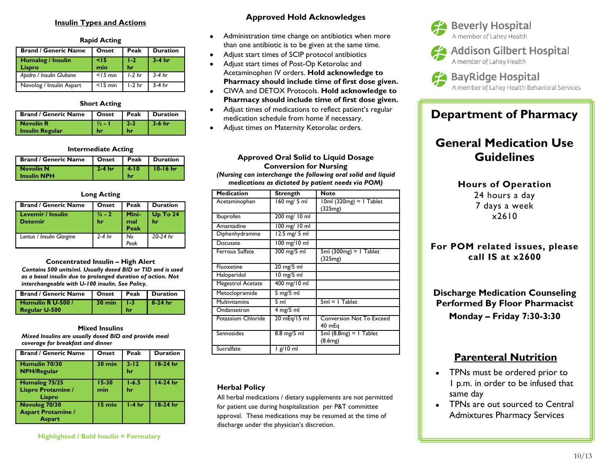### **Insulin Types and Actions**

#### **Rapid Acting**

| <b>Brand / Generic Name</b> | Onset         | Peak          | <b>Duration</b> |
|-----------------------------|---------------|---------------|-----------------|
| Humalog / Insulin<br>Lispro | $<$ 15<br>min | $1 - 2$<br>hr | $3-4$ hr        |
| Apidra / Insulin Glulisine  | $<$ 15 min    | $1-2$ hr      | $3-4$ hr        |
| Novolog / Insulin Aspart    | $<$ IS min    | $1-2$ hr      | $3-4$ hr        |

#### **Short Acting**

| <b>Brand / Generic Name</b> |                   |       | Onset   Peak   Duration |
|-----------------------------|-------------------|-------|-------------------------|
| <b>Novolin R</b>            | $\frac{1}{2}$ - 1 | l 2-3 | $\vert$ 3-6 hr          |
| <b>Insulin Regular</b>      | hr                | hr    |                         |

### **Intermediate Acting**

| <b>Brand / Generic Name</b>       |          |                      | Onset   Peak   Duration |
|-----------------------------------|----------|----------------------|-------------------------|
| Novolin N<br><b>L</b> Insulin NPH | $2-4$ hr | $14-10$<br><b>hr</b> | $10-16$ hr              |

### **Long Acting**

| <b>Brand / Generic Name</b>                | Onset                   | Peak                 | Duration           |
|--------------------------------------------|-------------------------|----------------------|--------------------|
| <b>Levemir / Insulin</b><br><b>Detemir</b> | $\frac{3}{4}$ - 2<br>hr | Mini-<br>mal<br>Peak | $Up$ To $24$<br>hr |
| Lantus / Insulin Glargine                  | 2-4 hr                  | No<br>Peak           | 20-24 hr           |

**Concentrated Insulin – High Alert**  *Contains 500 units/ml. Usually dosed BID or TID and is used as a basal insulin due to prolonged duration of action. Not interchangeable with U-100 insulin. See Policy.*

| <b>Brand / Generic Name</b>        | l Onset                |    | <b>Peak Duration</b> |
|------------------------------------|------------------------|----|----------------------|
| Humulin R U-500 /<br>Regular U-500 | $30 \text{ min}$   1-3 | hr | $8-24$ hr            |

**Mixed Insulins**  *Mixed Insulins are usually dosed BID and provide meal coverage for breakfast and dinner*

| <b>Brand / Generic Name</b>                                 | Onset            | Peak            | <b>Duration</b> |
|-------------------------------------------------------------|------------------|-----------------|-----------------|
| Humulin 70/30<br><b>NPH/Regular</b>                         | $30 \text{ min}$ | $2 - 12$<br>hr  | $18-24$ hr      |
| Humalog 75/25<br>Lispro Protamine /<br>Lispro               | $15 - 30$<br>min | $1 - 6.5$<br>hr | $14-24$ hr      |
| Novolog 70/30<br><b>Aspart Protamine /</b><br><b>Aspart</b> | 15 min           | $1-4hr$         | $18-24$ hr      |

### **Highlighted / Bold Insulin = Formulary**

## **Approved Hold Acknowledges**

- Administration time change on antibiotics when more  $\bullet$ than one antibiotic is to be given at the same time.
- Adjust start times of SCIP protocol antibiotics
- Adjust start times of Post-Op Ketorolac and Acetaminophen IV orders. **Hold acknowledge to Pharmacy should include time of first dose given.**
- CIWA and DETOX Protocols. **Hold acknowledge to**   $\bullet$ **Pharmacy should include time of first dose given.**
- Adjust times of medications to reflect patient's regular  $\bullet$ medication schedule from home if necessary.
- Adjust times on Maternity Ketorolac orders.

## **Approved Oral Solid to Liquid Dosage Conversion for Nursing**

*(Nursing can interchange the following oral solid and liquid medications as dictated by patient needs via POM)*

| <b>Medication</b>      | <b>Strength</b> | <b>Note</b>                               |
|------------------------|-----------------|-------------------------------------------|
| Acetaminophen          | 160 mg/ 5 ml    | $10ml$ (320mg) = 1 Tablet<br>(325mg)      |
| Ibuprofen              | 200 mg/ 10 ml   |                                           |
| Amantadine             | 100 mg/10 ml    |                                           |
| Diphenhydramine        | 12.5 mg/ 5 ml   |                                           |
| Docusate               | 100 mg/10 ml    |                                           |
| <b>Ferrous Sulfate</b> | 300 mg/5 ml     | $5ml$ (300mg) = 1 Tablet<br>(325mg)       |
| Fluoxetine             | 20 mg/5 ml      |                                           |
| Haloperidol            | 10 mg/5 ml      |                                           |
| Megestrol Acetate      | 400 mg/10 ml    |                                           |
| Metoclopramide         | $5$ mg/ $5$ ml  |                                           |
| <b>Multivitamins</b>   | 5 ml            | $5ml = I$ Tablet                          |
| Ondansetron            | $4$ mg/5 ml     |                                           |
| Potassium Chloride     | 20 mEq/15 ml    | <b>Conversion Not To Exceed</b><br>40 mEg |
| Sennosides             | 8.8 mg/5 ml     | $5ml$ (8.8mg) = 1 Tablet<br>(8.6mg)       |
| Sucralfate             | lg/10 ml        |                                           |

### **Herbal Policy**

All herbal medications / dietary supplements are not permitted for patient use during hospitalization per P&T committee approval. These medications may be resumed at the time of discharge under the physician's discretion.



**44** Addison Gilbert Hospital A member of Lahey Health



# **Department of Pharmacy**

# **General Medication Use Guidelines**

**Hours of Operation** 24 hours a day 7 days a week x2610

**For POM related issues, please call IS at x2600**

**Discharge Medication Counseling Performed By Floor Pharmacist Monday – Friday 7:30-3:30**

# **Parenteral Nutrition**

- TPNs must be ordered prior to 1 p.m. in order to be infused that same day
- TPNs are out sourced to Central Admixtures Pharmacy Services